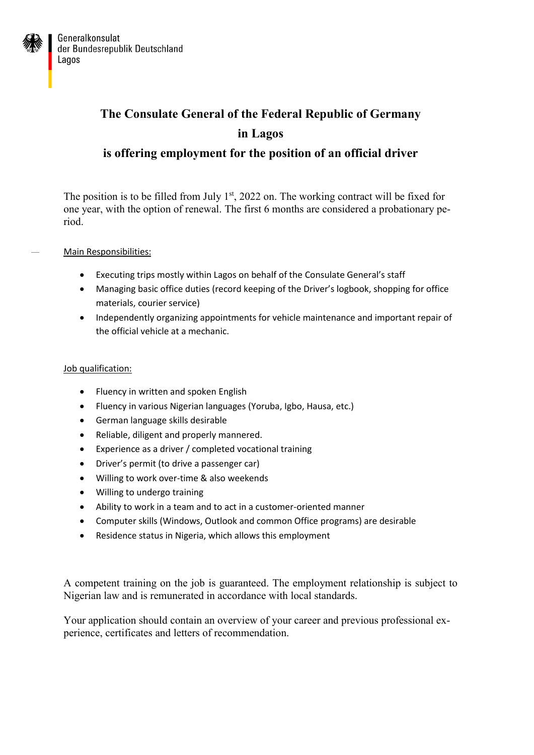

## **The Consulate General of the Federal Republic of Germany in Lagos is offering employment for the position of an official driver**

The position is to be filled from July  $1<sup>st</sup>$ , 2022 on. The working contract will be fixed for one year, with the option of renewal. The first 6 months are considered a probationary period.

Main Responsibilities:

- Executing trips mostly within Lagos on behalf of the Consulate General's staff
- Managing basic office duties (record keeping of the Driver's logbook, shopping for office materials, courier service)
- Independently organizing appointments for vehicle maintenance and important repair of the official vehicle at a mechanic.

## Job qualification:

- Fluency in written and spoken English
- Fluency in various Nigerian languages (Yoruba, Igbo, Hausa, etc.)
- German language skills desirable
- Reliable, diligent and properly mannered.
- Experience as a driver / completed vocational training
- Driver's permit (to drive a passenger car)
- Willing to work over-time & also weekends
- Willing to undergo training
- Ability to work in a team and to act in a customer-oriented manner
- Computer skills (Windows, Outlook and common Office programs) are desirable
- Residence status in Nigeria, which allows this employment

A competent training on the job is guaranteed. The employment relationship is subject to Nigerian law and is remunerated in accordance with local standards.

Your application should contain an overview of your career and previous professional experience, certificates and letters of recommendation.